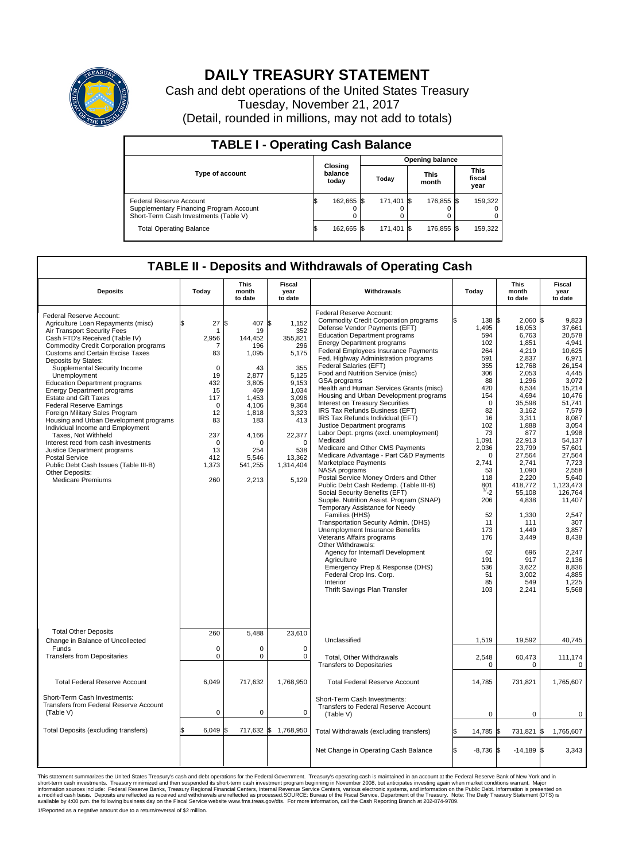

## **DAILY TREASURY STATEMENT**

Cash and debt operations of the United States Treasury Tuesday, November 21, 2017 (Detail, rounded in millions, may not add to totals)

| <b>TABLE I - Operating Cash Balance</b>                                                                     |    |                             |  |                        |  |                      |  |                               |  |  |  |
|-------------------------------------------------------------------------------------------------------------|----|-----------------------------|--|------------------------|--|----------------------|--|-------------------------------|--|--|--|
|                                                                                                             |    |                             |  | <b>Opening balance</b> |  |                      |  |                               |  |  |  |
| <b>Type of account</b>                                                                                      |    | Closing<br>balance<br>today |  | Today                  |  | <b>This</b><br>month |  | <b>This</b><br>fiscal<br>year |  |  |  |
| Federal Reserve Account<br>Supplementary Financing Program Account<br>Short-Term Cash Investments (Table V) |    | 162,665 \$                  |  | 171.401 \\$            |  | 176.855 \$           |  | 159,322                       |  |  |  |
| <b>Total Operating Balance</b>                                                                              | ß. | 162,665 \$                  |  | 171,401 \$             |  | 176,855 \$           |  | 159,322                       |  |  |  |

## **TABLE II - Deposits and Withdrawals of Operating Cash**

| <b>Deposits</b>                                                                                                                                                                                                                                                                                                                                                                                                                                                                                                                                                                                                                                                                                                                                                          | Today                                                                                                                                         | <b>This</b><br>month<br>to date                                                                                                                                          | Fiscal<br>year<br>to date                                                                                                                                         | Withdrawals                                                                                                                                                                                                                                                                                                                                                                                                                                                                                                                                                                                                                                                                                                                                                                                                                                                                                                                                                                                                                                                                                                                                                                                                                                                                            | Today                                                                                                                                                                                                                                                              | <b>This</b><br>month<br>to date                                                                                                                                                                                                                                                                                             | Fiscal<br>year<br>to date                                                                                                                                                                                                                                                                                                              |
|--------------------------------------------------------------------------------------------------------------------------------------------------------------------------------------------------------------------------------------------------------------------------------------------------------------------------------------------------------------------------------------------------------------------------------------------------------------------------------------------------------------------------------------------------------------------------------------------------------------------------------------------------------------------------------------------------------------------------------------------------------------------------|-----------------------------------------------------------------------------------------------------------------------------------------------|--------------------------------------------------------------------------------------------------------------------------------------------------------------------------|-------------------------------------------------------------------------------------------------------------------------------------------------------------------|----------------------------------------------------------------------------------------------------------------------------------------------------------------------------------------------------------------------------------------------------------------------------------------------------------------------------------------------------------------------------------------------------------------------------------------------------------------------------------------------------------------------------------------------------------------------------------------------------------------------------------------------------------------------------------------------------------------------------------------------------------------------------------------------------------------------------------------------------------------------------------------------------------------------------------------------------------------------------------------------------------------------------------------------------------------------------------------------------------------------------------------------------------------------------------------------------------------------------------------------------------------------------------------|--------------------------------------------------------------------------------------------------------------------------------------------------------------------------------------------------------------------------------------------------------------------|-----------------------------------------------------------------------------------------------------------------------------------------------------------------------------------------------------------------------------------------------------------------------------------------------------------------------------|----------------------------------------------------------------------------------------------------------------------------------------------------------------------------------------------------------------------------------------------------------------------------------------------------------------------------------------|
| Federal Reserve Account:<br>Agriculture Loan Repayments (misc)<br>Air Transport Security Fees<br>Cash FTD's Received (Table IV)<br><b>Commodity Credit Corporation programs</b><br><b>Customs and Certain Excise Taxes</b><br>Deposits by States:<br>Supplemental Security Income<br>Unemployment<br><b>Education Department programs</b><br><b>Energy Department programs</b><br><b>Estate and Gift Taxes</b><br><b>Federal Reserve Earnings</b><br>Foreign Military Sales Program<br>Housing and Urban Development programs<br>Individual Income and Employment<br>Taxes, Not Withheld<br>Interest recd from cash investments<br>Justice Department programs<br>Postal Service<br>Public Debt Cash Issues (Table III-B)<br>Other Deposits:<br><b>Medicare Premiums</b> | 27<br>2,956<br>7<br>83<br>$\mathbf 0$<br>19<br>432<br>15<br>117<br>$\mathbf 0$<br>12<br>83<br>237<br>$\mathbf 0$<br>13<br>412<br>1,373<br>260 | l\$<br>407 \$<br>19<br>144,452<br>196<br>1,095<br>43<br>2,877<br>3,805<br>469<br>1,453<br>4.106<br>1,818<br>183<br>4,166<br>$\Omega$<br>254<br>5.546<br>541,255<br>2,213 | 1,152<br>352<br>355,821<br>296<br>5,175<br>355<br>5,125<br>9,153<br>1.034<br>3,096<br>9,364<br>3,323<br>413<br>22,377<br>0<br>538<br>13,362<br>1,314,404<br>5,129 | Federal Reserve Account:<br><b>Commodity Credit Corporation programs</b><br>Defense Vendor Payments (EFT)<br><b>Education Department programs</b><br><b>Energy Department programs</b><br>Federal Employees Insurance Payments<br>Fed. Highway Administration programs<br>Federal Salaries (EFT)<br>Food and Nutrition Service (misc)<br>GSA programs<br>Health and Human Services Grants (misc)<br>Housing and Urban Development programs<br>Interest on Treasury Securities<br>IRS Tax Refunds Business (EFT)<br>IRS Tax Refunds Individual (EFT)<br>Justice Department programs<br>Labor Dept. prgms (excl. unemployment)<br>Medicaid<br>Medicare and Other CMS Payments<br>Medicare Advantage - Part C&D Payments<br>Marketplace Payments<br>NASA programs<br>Postal Service Money Orders and Other<br>Public Debt Cash Redemp. (Table III-B)<br>Social Security Benefits (EFT)<br>Supple. Nutrition Assist. Program (SNAP)<br>Temporary Assistance for Needy<br>Families (HHS)<br>Transportation Security Admin. (DHS)<br><b>Unemployment Insurance Benefits</b><br>Veterans Affairs programs<br>Other Withdrawals:<br>Agency for Internat'l Development<br>Agriculture<br>Emergency Prep & Response (DHS)<br>Federal Crop Ins. Corp.<br>Interior<br>Thrift Savings Plan Transfer | 138 \$<br>1,495<br>594<br>102<br>264<br>591<br>355<br>306<br>88<br>420<br>154<br>$\Omega$<br>82<br>16<br>102<br>73<br>1,091<br>2,036<br>$\Omega$<br>2,741<br>53<br>118<br>801<br>$^{1/-}2$<br>206<br>52<br>11<br>173<br>176<br>62<br>191<br>536<br>51<br>85<br>103 | $2,060$ \$<br>16,053<br>6,763<br>1,851<br>4,219<br>2,837<br>12,768<br>2.053<br>1,296<br>6,534<br>4,694<br>35,598<br>3,162<br>3,311<br>1.888<br>877<br>22,913<br>23,799<br>27,564<br>2,741<br>1,090<br>2,220<br>418,772<br>55.108<br>4,838<br>1,330<br>111<br>1.449<br>3,449<br>696<br>917<br>3,622<br>3,002<br>549<br>2,241 | 9,823<br>37,661<br>20,578<br>4,941<br>10,625<br>6,971<br>26.154<br>4.445<br>3,072<br>15,214<br>10.476<br>51,741<br>7,579<br>8,087<br>3.054<br>1,998<br>54,137<br>57,601<br>27,564<br>7,723<br>2,558<br>5,640<br>1,123,473<br>126,764<br>11.407<br>2.547<br>307<br>3,857<br>8,438<br>2,247<br>2,136<br>8,836<br>4,885<br>1,225<br>5,568 |
| <b>Total Other Deposits</b><br>Change in Balance of Uncollected                                                                                                                                                                                                                                                                                                                                                                                                                                                                                                                                                                                                                                                                                                          | 260                                                                                                                                           | 5,488                                                                                                                                                                    | 23,610                                                                                                                                                            | Unclassified                                                                                                                                                                                                                                                                                                                                                                                                                                                                                                                                                                                                                                                                                                                                                                                                                                                                                                                                                                                                                                                                                                                                                                                                                                                                           | 1,519                                                                                                                                                                                                                                                              | 19,592                                                                                                                                                                                                                                                                                                                      | 40,745                                                                                                                                                                                                                                                                                                                                 |
| Funds<br><b>Transfers from Depositaries</b>                                                                                                                                                                                                                                                                                                                                                                                                                                                                                                                                                                                                                                                                                                                              | $\mathbf 0$<br>$\mathbf 0$                                                                                                                    | $\mathbf 0$<br>$\Omega$                                                                                                                                                  | $\mathbf 0$<br>$\mathbf 0$                                                                                                                                        | <b>Total. Other Withdrawals</b><br><b>Transfers to Depositaries</b>                                                                                                                                                                                                                                                                                                                                                                                                                                                                                                                                                                                                                                                                                                                                                                                                                                                                                                                                                                                                                                                                                                                                                                                                                    | 2,548<br>$\pmb{0}$                                                                                                                                                                                                                                                 | 60,473<br>0                                                                                                                                                                                                                                                                                                                 | 111,174<br>0                                                                                                                                                                                                                                                                                                                           |
| <b>Total Federal Reserve Account</b>                                                                                                                                                                                                                                                                                                                                                                                                                                                                                                                                                                                                                                                                                                                                     | 6.049                                                                                                                                         | 717,632                                                                                                                                                                  | 1,768,950                                                                                                                                                         | <b>Total Federal Reserve Account</b>                                                                                                                                                                                                                                                                                                                                                                                                                                                                                                                                                                                                                                                                                                                                                                                                                                                                                                                                                                                                                                                                                                                                                                                                                                                   | 14,785                                                                                                                                                                                                                                                             | 731,821                                                                                                                                                                                                                                                                                                                     | 1,765,607                                                                                                                                                                                                                                                                                                                              |
| Short-Term Cash Investments:<br><b>Transfers from Federal Reserve Account</b><br>(Table V)                                                                                                                                                                                                                                                                                                                                                                                                                                                                                                                                                                                                                                                                               | $\mathbf 0$                                                                                                                                   | $\mathbf 0$                                                                                                                                                              | 0                                                                                                                                                                 | Short-Term Cash Investments:<br>Transfers to Federal Reserve Account<br>(Table V)                                                                                                                                                                                                                                                                                                                                                                                                                                                                                                                                                                                                                                                                                                                                                                                                                                                                                                                                                                                                                                                                                                                                                                                                      | $\mathbf 0$                                                                                                                                                                                                                                                        | 0                                                                                                                                                                                                                                                                                                                           | 0                                                                                                                                                                                                                                                                                                                                      |
| Total Deposits (excluding transfers)                                                                                                                                                                                                                                                                                                                                                                                                                                                                                                                                                                                                                                                                                                                                     | 6,049                                                                                                                                         | 717,632 \$<br>ß.                                                                                                                                                         | 1,768,950                                                                                                                                                         | Total Withdrawals (excluding transfers)                                                                                                                                                                                                                                                                                                                                                                                                                                                                                                                                                                                                                                                                                                                                                                                                                                                                                                                                                                                                                                                                                                                                                                                                                                                | 14,785 \$                                                                                                                                                                                                                                                          | 731,821 \$                                                                                                                                                                                                                                                                                                                  | 1,765,607                                                                                                                                                                                                                                                                                                                              |
|                                                                                                                                                                                                                                                                                                                                                                                                                                                                                                                                                                                                                                                                                                                                                                          |                                                                                                                                               |                                                                                                                                                                          |                                                                                                                                                                   | Net Change in Operating Cash Balance                                                                                                                                                                                                                                                                                                                                                                                                                                                                                                                                                                                                                                                                                                                                                                                                                                                                                                                                                                                                                                                                                                                                                                                                                                                   | l\$<br>$-8,736$ \$                                                                                                                                                                                                                                                 | $-14,189$ \$                                                                                                                                                                                                                                                                                                                | 3,343                                                                                                                                                                                                                                                                                                                                  |

This statement summarizes the United States Treasury's cash and debt operations for the Federal Government. Treasury operating in November 2008, but anticinates investing again when market conditions warrant. Major York an

1/Reported as a negative amount due to a return/reversal of \$2 million.